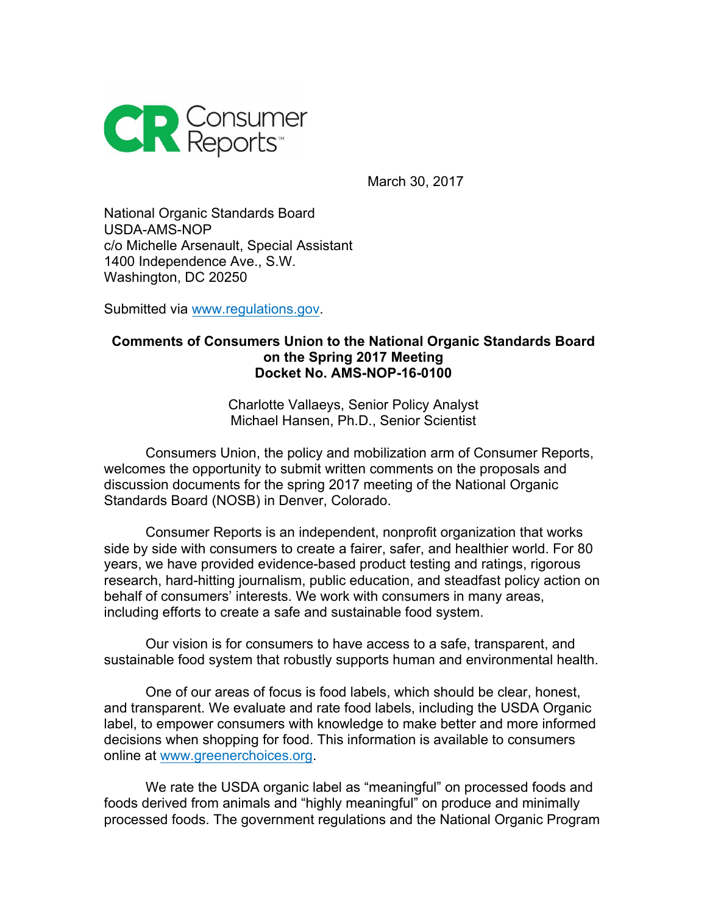

March 30, 2017

National Organic Standards Board USDA-AMS-NOP c/o Michelle Arsenault, Special Assistant 1400 Independence Ave., S.W. Washington, DC 20250

Submitted via www.regulations.gov.

#### **Comments of Consumers Union to the National Organic Standards Board on the Spring 2017 Meeting Docket No. AMS-NOP-16-0100**

Charlotte Vallaeys, Senior Policy Analyst Michael Hansen, Ph.D., Senior Scientist

Consumers Union, the policy and mobilization arm of Consumer Reports, welcomes the opportunity to submit written comments on the proposals and discussion documents for the spring 2017 meeting of the National Organic Standards Board (NOSB) in Denver, Colorado.

Consumer Reports is an independent, nonprofit organization that works side by side with consumers to create a fairer, safer, and healthier world. For 80 years, we have provided evidence-based product testing and ratings, rigorous research, hard-hitting journalism, public education, and steadfast policy action on behalf of consumers' interests. We work with consumers in many areas, including efforts to create a safe and sustainable food system.

Our vision is for consumers to have access to a safe, transparent, and sustainable food system that robustly supports human and environmental health.

One of our areas of focus is food labels, which should be clear, honest, and transparent. We evaluate and rate food labels, including the USDA Organic label, to empower consumers with knowledge to make better and more informed decisions when shopping for food. This information is available to consumers online at www.greenerchoices.org.

We rate the USDA organic label as "meaningful" on processed foods and foods derived from animals and "highly meaningful" on produce and minimally processed foods. The government regulations and the National Organic Program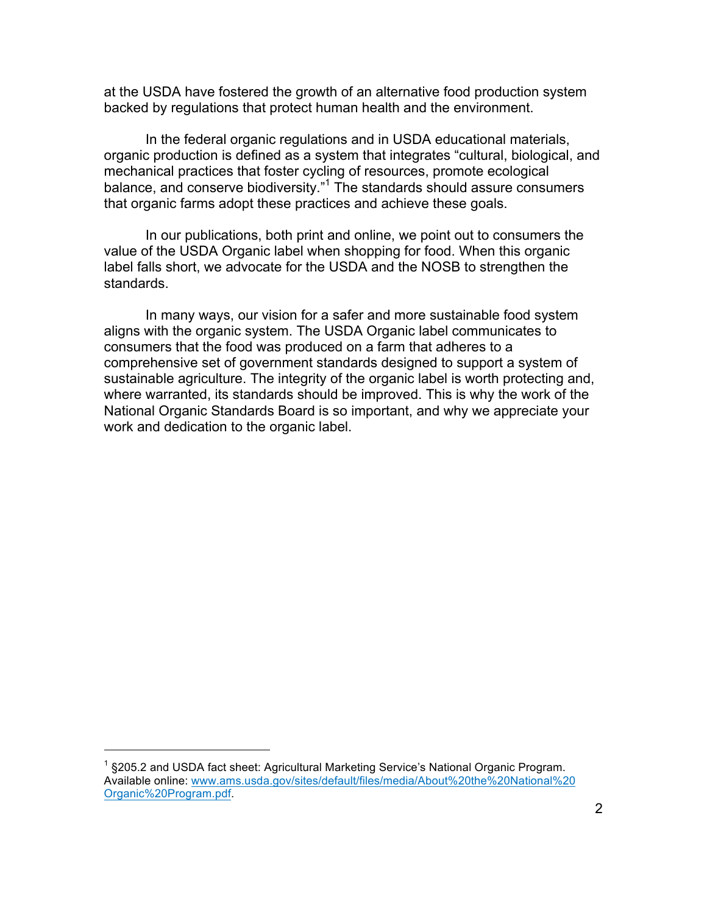at the USDA have fostered the growth of an alternative food production system backed by regulations that protect human health and the environment.

In the federal organic regulations and in USDA educational materials, organic production is defined as a system that integrates "cultural, biological, and mechanical practices that foster cycling of resources, promote ecological balance, and conserve biodiversity." <sup>1</sup> The standards should assure consumers that organic farms adopt these practices and achieve these goals.

In our publications, both print and online, we point out to consumers the value of the USDA Organic label when shopping for food. When this organic label falls short, we advocate for the USDA and the NOSB to strengthen the standards.

In many ways, our vision for a safer and more sustainable food system aligns with the organic system. The USDA Organic label communicates to consumers that the food was produced on a farm that adheres to a comprehensive set of government standards designed to support a system of sustainable agriculture. The integrity of the organic label is worth protecting and, where warranted, its standards should be improved. This is why the work of the National Organic Standards Board is so important, and why we appreciate your work and dedication to the organic label.

 $1$  §205.2 and USDA fact sheet: Agricultural Marketing Service's National Organic Program. Available online: www.ams.usda.gov/sites/default/files/media/About%20the%20National%20 Organic%20Program.pdf.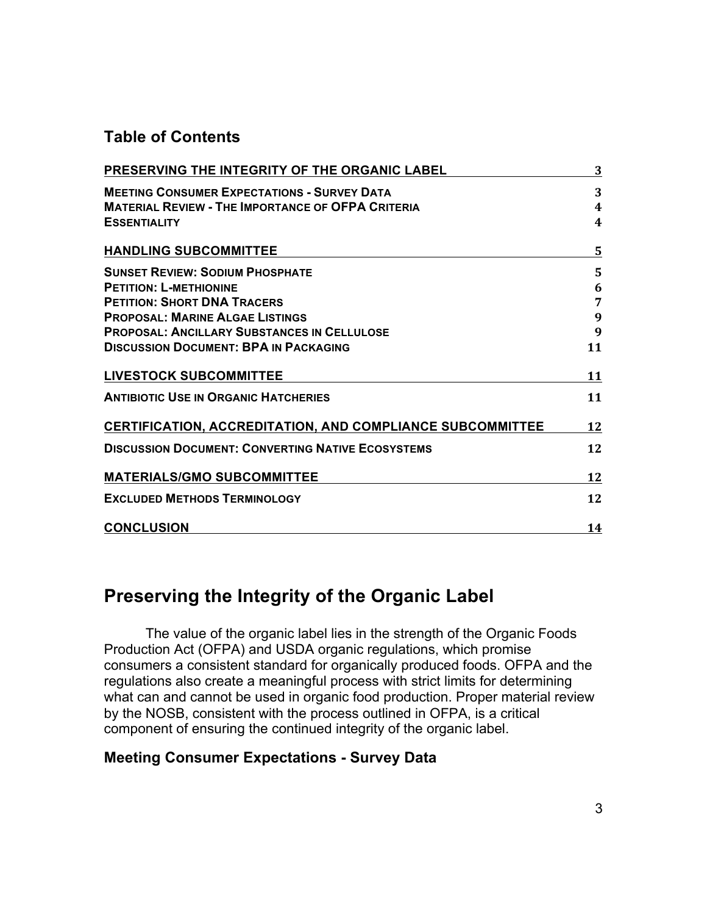## **Table of Contents**

| PRESERVING THE INTEGRITY OF THE ORGANIC LABEL                    | 3                |
|------------------------------------------------------------------|------------------|
| <b>MEETING CONSUMER EXPECTATIONS - SURVEY DATA</b>               | 3                |
| <b>MATERIAL REVIEW - THE IMPORTANCE OF OFPA CRITERIA</b>         | $\boldsymbol{4}$ |
| <b>ESSENTIALITY</b>                                              | 4                |
| <b>HANDLING SUBCOMMITTEE</b>                                     | 5                |
| <b>SUNSET REVIEW: SODIUM PHOSPHATE</b>                           | 5                |
| <b>PETITION: L-METHIONINE</b>                                    | 6                |
| <b>PETITION: SHORT DNA TRACERS</b>                               | 7                |
| <b>PROPOSAL: MARINE ALGAE LISTINGS</b>                           | 9                |
| <b>PROPOSAL: ANCILLARY SUBSTANCES IN CELLULOSE</b>               | 9                |
| <b>DISCUSSION DOCUMENT: BPA IN PACKAGING</b>                     | 11               |
| <b>LIVESTOCK SUBCOMMITTEE</b>                                    | 11               |
| <b>ANTIBIOTIC USE IN ORGANIC HATCHERIES</b>                      | 11               |
| <b>CERTIFICATION, ACCREDITATION, AND COMPLIANCE SUBCOMMITTEE</b> | 12               |
| <b>DISCUSSION DOCUMENT: CONVERTING NATIVE ECOSYSTEMS</b>         | 12               |
| <b>MATERIALS/GMO SUBCOMMITTEE</b>                                | 12               |
| <b>EXCLUDED METHODS TERMINOLOGY</b>                              | 12               |
| <b>CONCLUSION</b>                                                | 14               |

## **Preserving the Integrity of the Organic Label**

The value of the organic label lies in the strength of the Organic Foods Production Act (OFPA) and USDA organic regulations, which promise consumers a consistent standard for organically produced foods. OFPA and the regulations also create a meaningful process with strict limits for determining what can and cannot be used in organic food production. Proper material review by the NOSB, consistent with the process outlined in OFPA, is a critical component of ensuring the continued integrity of the organic label.

### **Meeting Consumer Expectations - Survey Data**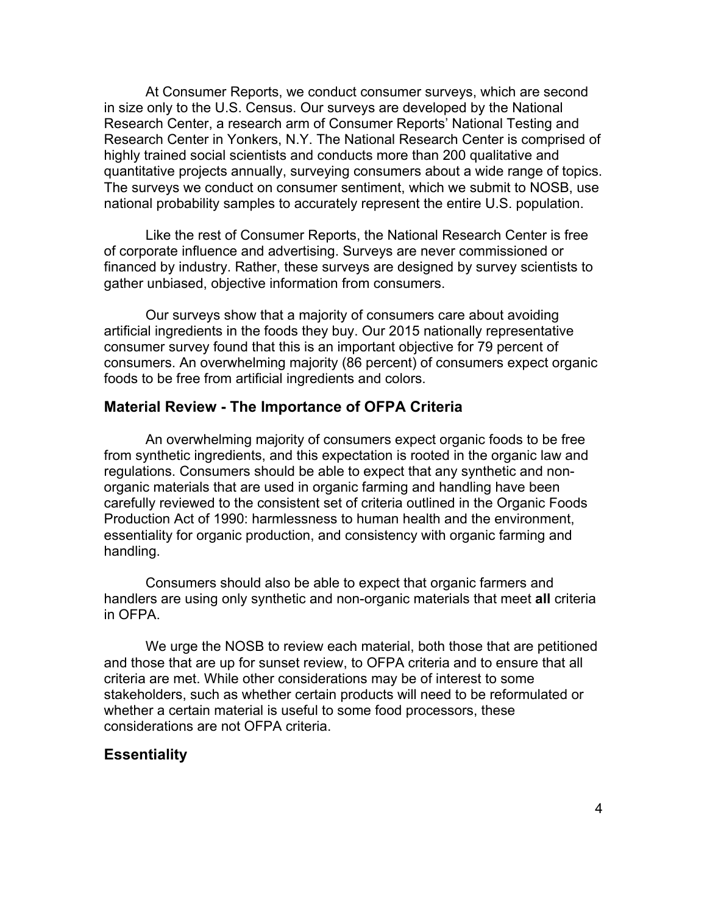At Consumer Reports, we conduct consumer surveys, which are second in size only to the U.S. Census. Our surveys are developed by the National Research Center, a research arm of Consumer Reports' National Testing and Research Center in Yonkers, N.Y. The National Research Center is comprised of highly trained social scientists and conducts more than 200 qualitative and quantitative projects annually, surveying consumers about a wide range of topics. The surveys we conduct on consumer sentiment, which we submit to NOSB, use national probability samples to accurately represent the entire U.S. population.

Like the rest of Consumer Reports, the National Research Center is free of corporate influence and advertising. Surveys are never commissioned or financed by industry. Rather, these surveys are designed by survey scientists to gather unbiased, objective information from consumers.

Our surveys show that a majority of consumers care about avoiding artificial ingredients in the foods they buy. Our 2015 nationally representative consumer survey found that this is an important objective for 79 percent of consumers. An overwhelming majority (86 percent) of consumers expect organic foods to be free from artificial ingredients and colors.

### **Material Review - The Importance of OFPA Criteria**

An overwhelming majority of consumers expect organic foods to be free from synthetic ingredients, and this expectation is rooted in the organic law and regulations. Consumers should be able to expect that any synthetic and nonorganic materials that are used in organic farming and handling have been carefully reviewed to the consistent set of criteria outlined in the Organic Foods Production Act of 1990: harmlessness to human health and the environment, essentiality for organic production, and consistency with organic farming and handling.

Consumers should also be able to expect that organic farmers and handlers are using only synthetic and non-organic materials that meet **all** criteria in OFPA.

We urge the NOSB to review each material, both those that are petitioned and those that are up for sunset review, to OFPA criteria and to ensure that all criteria are met. While other considerations may be of interest to some stakeholders, such as whether certain products will need to be reformulated or whether a certain material is useful to some food processors, these considerations are not OFPA criteria.

#### **Essentiality**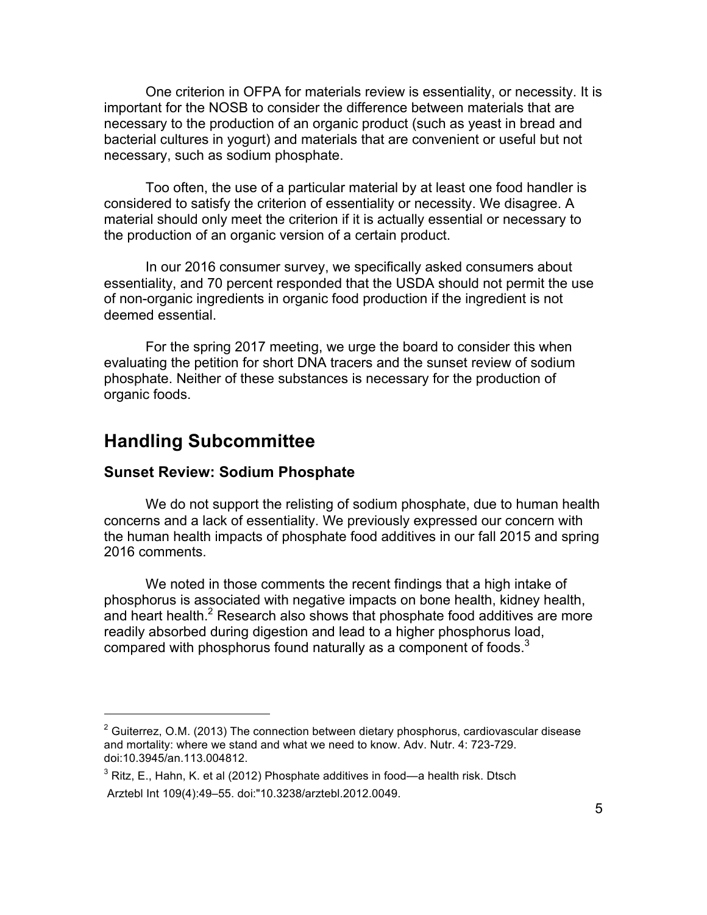One criterion in OFPA for materials review is essentiality, or necessity. It is important for the NOSB to consider the difference between materials that are necessary to the production of an organic product (such as yeast in bread and bacterial cultures in yogurt) and materials that are convenient or useful but not necessary, such as sodium phosphate.

Too often, the use of a particular material by at least one food handler is considered to satisfy the criterion of essentiality or necessity. We disagree. A material should only meet the criterion if it is actually essential or necessary to the production of an organic version of a certain product.

In our 2016 consumer survey, we specifically asked consumers about essentiality, and 70 percent responded that the USDA should not permit the use of non-organic ingredients in organic food production if the ingredient is not deemed essential.

For the spring 2017 meeting, we urge the board to consider this when evaluating the petition for short DNA tracers and the sunset review of sodium phosphate. Neither of these substances is necessary for the production of organic foods.

## **Handling Subcommittee**

 

#### **Sunset Review: Sodium Phosphate**

We do not support the relisting of sodium phosphate, due to human health concerns and a lack of essentiality. We previously expressed our concern with the human health impacts of phosphate food additives in our fall 2015 and spring 2016 comments.

We noted in those comments the recent findings that a high intake of phosphorus is associated with negative impacts on bone health, kidney health, and heart health. $2$  Research also shows that phosphate food additives are more readily absorbed during digestion and lead to a higher phosphorus load, compared with phosphorus found naturally as a component of foods. $3$ 

 $2$  Guiterrez, O.M. (2013) The connection between dietary phosphorus, cardiovascular disease and mortality: where we stand and what we need to know. Adv. Nutr. 4: 723-729. doi:10.3945/an.113.004812.

 $3$  Ritz, E., Hahn, K. et al (2012) Phosphate additives in food—a health risk. Dtsch Arztebl Int 109(4):49–55. doi:"10.3238/arztebl.2012.0049.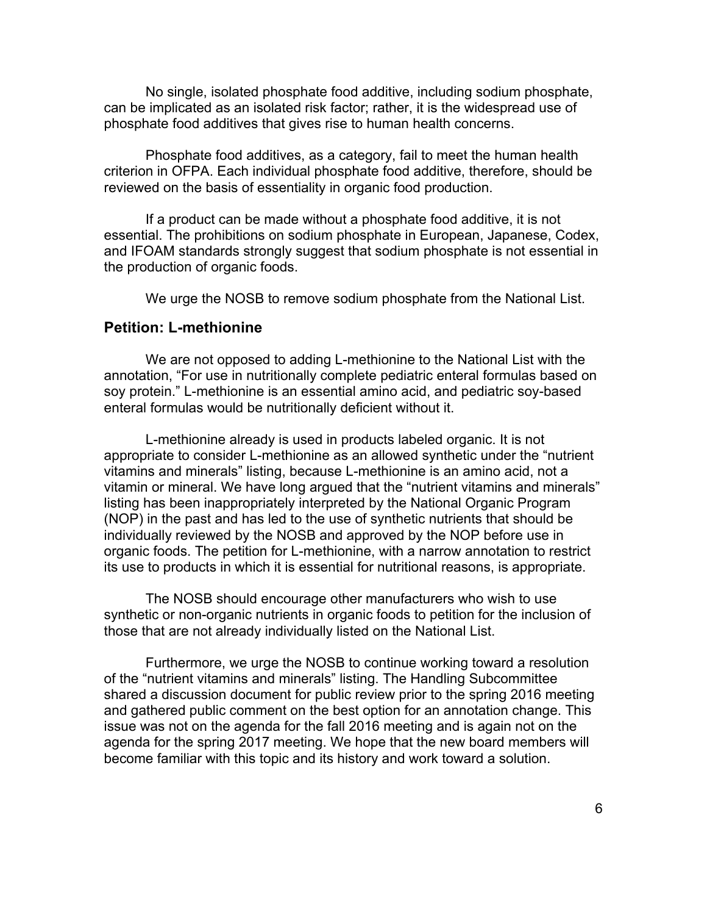No single, isolated phosphate food additive, including sodium phosphate, can be implicated as an isolated risk factor; rather, it is the widespread use of phosphate food additives that gives rise to human health concerns.

Phosphate food additives, as a category, fail to meet the human health criterion in OFPA. Each individual phosphate food additive, therefore, should be reviewed on the basis of essentiality in organic food production.

If a product can be made without a phosphate food additive, it is not essential. The prohibitions on sodium phosphate in European, Japanese, Codex, and IFOAM standards strongly suggest that sodium phosphate is not essential in the production of organic foods.

We urge the NOSB to remove sodium phosphate from the National List.

#### **Petition: L-methionine**

We are not opposed to adding L-methionine to the National List with the annotation, "For use in nutritionally complete pediatric enteral formulas based on soy protein." L-methionine is an essential amino acid, and pediatric soy-based enteral formulas would be nutritionally deficient without it.

L-methionine already is used in products labeled organic. It is not appropriate to consider L-methionine as an allowed synthetic under the "nutrient vitamins and minerals" listing, because L-methionine is an amino acid, not a vitamin or mineral. We have long argued that the "nutrient vitamins and minerals" listing has been inappropriately interpreted by the National Organic Program (NOP) in the past and has led to the use of synthetic nutrients that should be individually reviewed by the NOSB and approved by the NOP before use in organic foods. The petition for L-methionine, with a narrow annotation to restrict its use to products in which it is essential for nutritional reasons, is appropriate.

The NOSB should encourage other manufacturers who wish to use synthetic or non-organic nutrients in organic foods to petition for the inclusion of those that are not already individually listed on the National List.

Furthermore, we urge the NOSB to continue working toward a resolution of the "nutrient vitamins and minerals" listing. The Handling Subcommittee shared a discussion document for public review prior to the spring 2016 meeting and gathered public comment on the best option for an annotation change. This issue was not on the agenda for the fall 2016 meeting and is again not on the agenda for the spring 2017 meeting. We hope that the new board members will become familiar with this topic and its history and work toward a solution.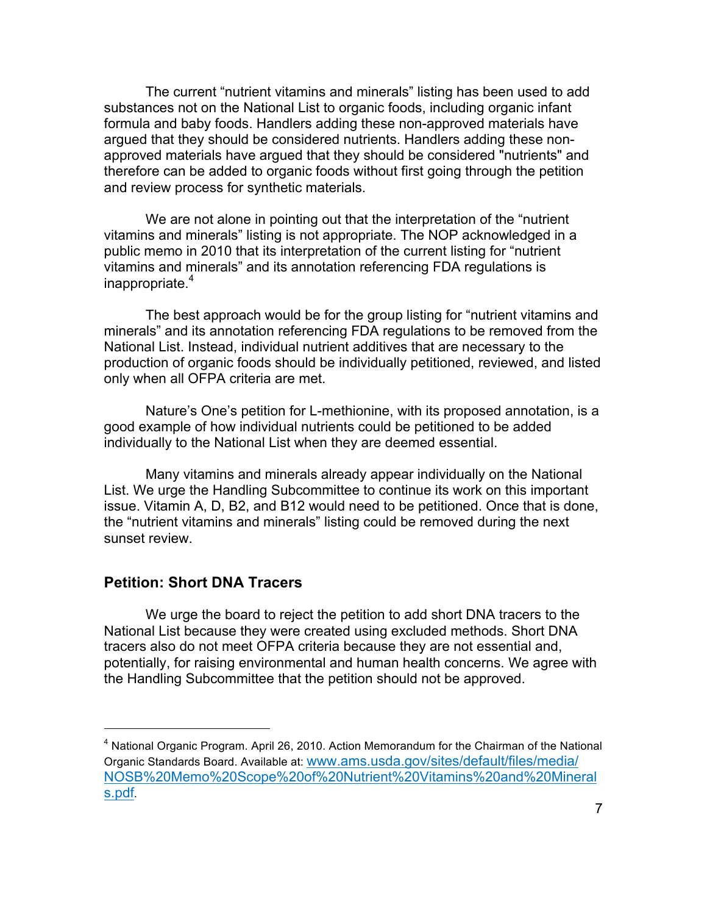The current "nutrient vitamins and minerals" listing has been used to add substances not on the National List to organic foods, including organic infant formula and baby foods. Handlers adding these non-approved materials have argued that they should be considered nutrients. Handlers adding these nonapproved materials have argued that they should be considered "nutrients" and therefore can be added to organic foods without first going through the petition and review process for synthetic materials.

We are not alone in pointing out that the interpretation of the "nutrient vitamins and minerals" listing is not appropriate. The NOP acknowledged in a public memo in 2010 that its interpretation of the current listing for "nutrient vitamins and minerals" and its annotation referencing FDA regulations is inappropriate.<sup>4</sup>

The best approach would be for the group listing for "nutrient vitamins and minerals" and its annotation referencing FDA regulations to be removed from the National List. Instead, individual nutrient additives that are necessary to the production of organic foods should be individually petitioned, reviewed, and listed only when all OFPA criteria are met.

Nature's One's petition for L-methionine, with its proposed annotation, is a good example of how individual nutrients could be petitioned to be added individually to the National List when they are deemed essential.

Many vitamins and minerals already appear individually on the National List. We urge the Handling Subcommittee to continue its work on this important issue. Vitamin A, D, B2, and B12 would need to be petitioned. Once that is done, the "nutrient vitamins and minerals" listing could be removed during the next sunset review.

#### **Petition: Short DNA Tracers**

 

We urge the board to reject the petition to add short DNA tracers to the National List because they were created using excluded methods. Short DNA tracers also do not meet OFPA criteria because they are not essential and, potentially, for raising environmental and human health concerns. We agree with the Handling Subcommittee that the petition should not be approved.

 $4$  National Organic Program. April 26, 2010. Action Memorandum for the Chairman of the National Organic Standards Board. Available at: www.ams.usda.gov/sites/default/files/media/ NOSB%20Memo%20Scope%20of%20Nutrient%20Vitamins%20and%20Mineral s.pdf.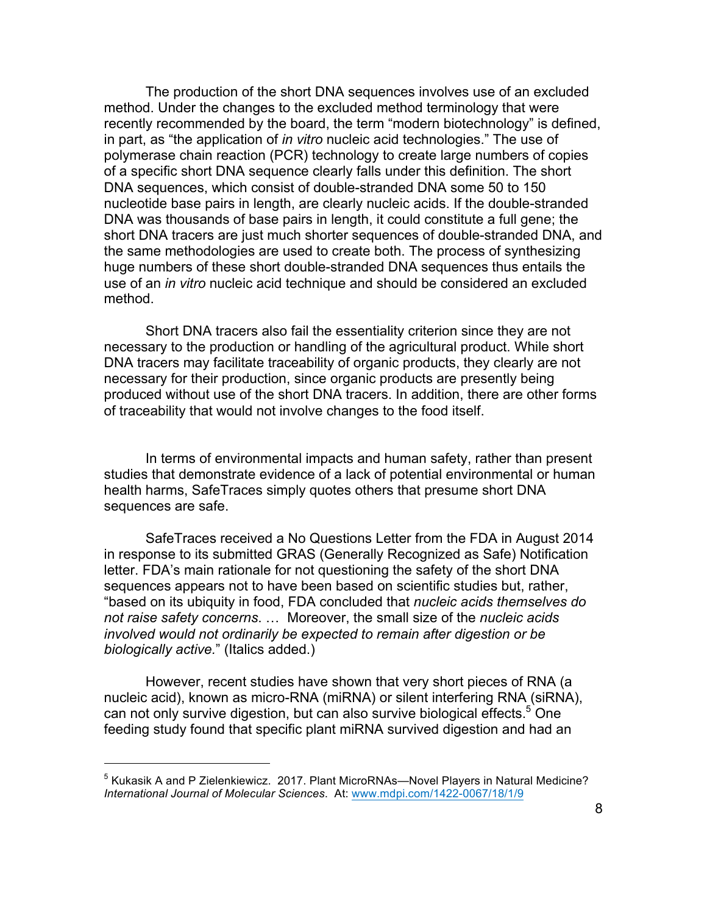The production of the short DNA sequences involves use of an excluded method. Under the changes to the excluded method terminology that were recently recommended by the board, the term "modern biotechnology" is defined, in part, as "the application of *in vitro* nucleic acid technologies." The use of polymerase chain reaction (PCR) technology to create large numbers of copies of a specific short DNA sequence clearly falls under this definition. The short DNA sequences, which consist of double-stranded DNA some 50 to 150 nucleotide base pairs in length, are clearly nucleic acids. If the double-stranded DNA was thousands of base pairs in length, it could constitute a full gene; the short DNA tracers are just much shorter sequences of double-stranded DNA, and the same methodologies are used to create both. The process of synthesizing huge numbers of these short double-stranded DNA sequences thus entails the use of an *in vitro* nucleic acid technique and should be considered an excluded method.

Short DNA tracers also fail the essentiality criterion since they are not necessary to the production or handling of the agricultural product. While short DNA tracers may facilitate traceability of organic products, they clearly are not necessary for their production, since organic products are presently being produced without use of the short DNA tracers. In addition, there are other forms of traceability that would not involve changes to the food itself.

In terms of environmental impacts and human safety, rather than present studies that demonstrate evidence of a lack of potential environmental or human health harms, SafeTraces simply quotes others that presume short DNA sequences are safe.

SafeTraces received a No Questions Letter from the FDA in August 2014 in response to its submitted GRAS (Generally Recognized as Safe) Notification letter. FDA's main rationale for not questioning the safety of the short DNA sequences appears not to have been based on scientific studies but, rather, "based on its ubiquity in food, FDA concluded that *nucleic acids themselves do not raise safety concerns*. … Moreover, the small size of the *nucleic acids involved would not ordinarily be expected to remain after digestion or be biologically active.*" (Italics added.)

However, recent studies have shown that very short pieces of RNA (a nucleic acid), known as micro-RNA (miRNA) or silent interfering RNA (siRNA), can not only survive digestion, but can also survive biological effects.<sup>5</sup> One feeding study found that specific plant miRNA survived digestion and had an

 $<sup>5</sup>$  Kukasik A and P Zielenkiewicz. 2017. Plant MicroRNAs—Novel Players in Natural Medicine?</sup> *International Journal of Molecular Sciences*. At: www.mdpi.com/1422-0067/18/1/9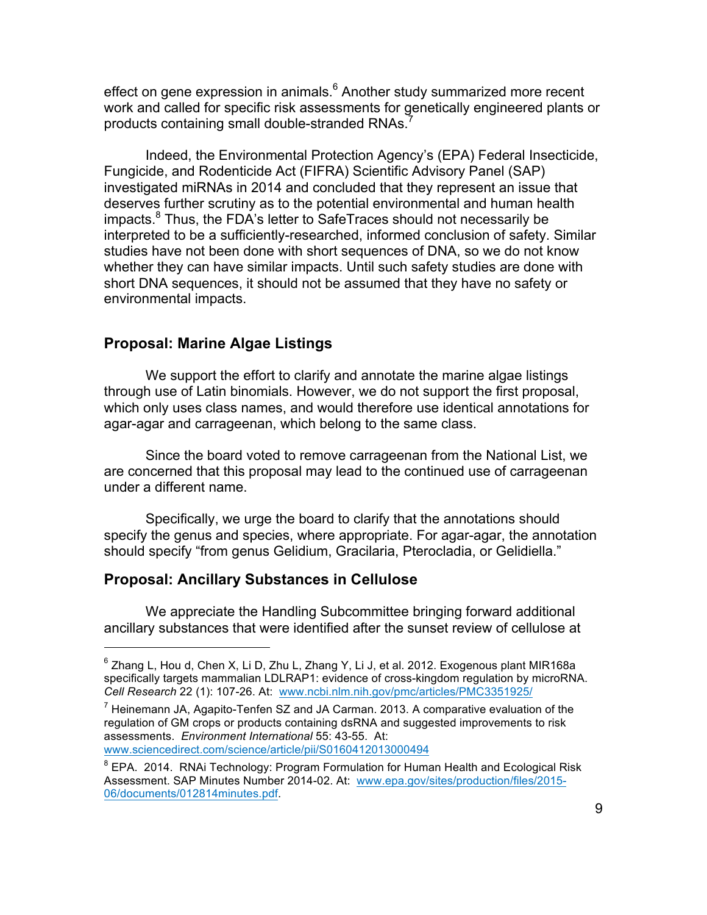effect on gene expression in animals.<sup>6</sup> Another study summarized more recent work and called for specific risk assessments for genetically engineered plants or products containing small double-stranded RNAs.<sup>7</sup>

Indeed, the Environmental Protection Agency's (EPA) Federal Insecticide, Fungicide, and Rodenticide Act (FIFRA) Scientific Advisory Panel (SAP) investigated miRNAs in 2014 and concluded that they represent an issue that deserves further scrutiny as to the potential environmental and human health impacts.<sup>8</sup> Thus, the FDA's letter to SafeTraces should not necessarily be interpreted to be a sufficiently-researched, informed conclusion of safety. Similar studies have not been done with short sequences of DNA, so we do not know whether they can have similar impacts. Until such safety studies are done with short DNA sequences, it should not be assumed that they have no safety or environmental impacts.

#### **Proposal: Marine Algae Listings**

We support the effort to clarify and annotate the marine algae listings through use of Latin binomials. However, we do not support the first proposal, which only uses class names, and would therefore use identical annotations for agar-agar and carrageenan, which belong to the same class.

Since the board voted to remove carrageenan from the National List, we are concerned that this proposal may lead to the continued use of carrageenan under a different name.

Specifically, we urge the board to clarify that the annotations should specify the genus and species, where appropriate. For agar-agar, the annotation should specify "from genus Gelidium, Gracilaria, Pterocladia, or Gelidiella."

#### **Proposal: Ancillary Substances in Cellulose**

 

We appreciate the Handling Subcommittee bringing forward additional ancillary substances that were identified after the sunset review of cellulose at

<sup>8</sup> EPA. 2014. RNAi Technology: Program Formulation for Human Health and Ecological Risk Assessment. SAP Minutes Number 2014-02. At: www.epa.gov/sites/production/files/2015- 06/documents/012814minutes.pdf.

 $6$  Zhang L, Hou d, Chen X, Li D, Zhu L, Zhang Y, Li J, et al. 2012. Exogenous plant MIR168a specifically targets mammalian LDLRAP1: evidence of cross-kingdom regulation by microRNA. *Cell Research* 22 (1): 107-26. At: www.ncbi.nlm.nih.gov/pmc/articles/PMC3351925/

 $^7$  Heinemann JA, Agapito-Tenfen SZ and JA Carman. 2013. A comparative evaluation of the regulation of GM crops or products containing dsRNA and suggested improvements to risk assessments. *Environment International* 55: 43-55. At: www.sciencedirect.com/science/article/pii/S0160412013000494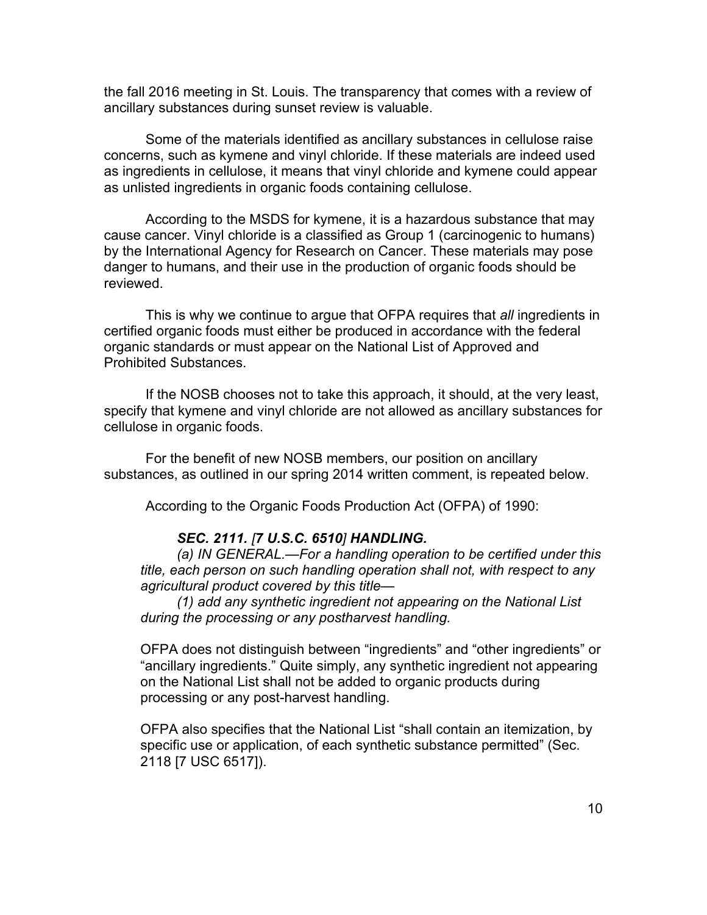the fall 2016 meeting in St. Louis. The transparency that comes with a review of ancillary substances during sunset review is valuable.

Some of the materials identified as ancillary substances in cellulose raise concerns, such as kymene and vinyl chloride. If these materials are indeed used as ingredients in cellulose, it means that vinyl chloride and kymene could appear as unlisted ingredients in organic foods containing cellulose.

According to the MSDS for kymene, it is a hazardous substance that may cause cancer. Vinyl chloride is a classified as Group 1 (carcinogenic to humans) by the International Agency for Research on Cancer. These materials may pose danger to humans, and their use in the production of organic foods should be reviewed.

This is why we continue to argue that OFPA requires that *all* ingredients in certified organic foods must either be produced in accordance with the federal organic standards or must appear on the National List of Approved and Prohibited Substances.

If the NOSB chooses not to take this approach, it should, at the very least, specify that kymene and vinyl chloride are not allowed as ancillary substances for cellulose in organic foods.

For the benefit of new NOSB members, our position on ancillary substances, as outlined in our spring 2014 written comment, is repeated below.

According to the Organic Foods Production Act (OFPA) of 1990:

#### *SEC. 2111. [7 U.S.C. 6510] HANDLING.*

*(a) IN GENERAL.—For a handling operation to be certified under this title, each person on such handling operation shall not, with respect to any agricultural product covered by this title—*

*(1) add any synthetic ingredient not appearing on the National List during the processing or any postharvest handling.*

OFPA does not distinguish between "ingredients" and "other ingredients" or "ancillary ingredients." Quite simply, any synthetic ingredient not appearing on the National List shall not be added to organic products during processing or any post-harvest handling.

OFPA also specifies that the National List "shall contain an itemization, by specific use or application, of each synthetic substance permitted" (Sec. 2118 [7 USC 6517]).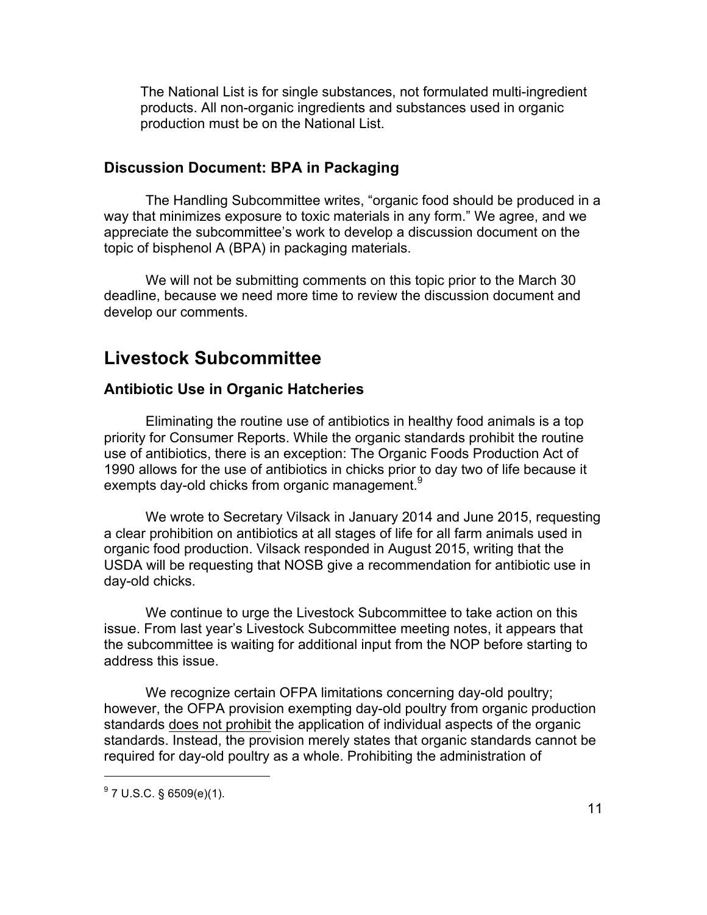The National List is for single substances, not formulated multi-ingredient products. All non-organic ingredients and substances used in organic production must be on the National List.

### **Discussion Document: BPA in Packaging**

The Handling Subcommittee writes, "organic food should be produced in a way that minimizes exposure to toxic materials in any form." We agree, and we appreciate the subcommittee's work to develop a discussion document on the topic of bisphenol A (BPA) in packaging materials.

We will not be submitting comments on this topic prior to the March 30 deadline, because we need more time to review the discussion document and develop our comments.

## **Livestock Subcommittee**

### **Antibiotic Use in Organic Hatcheries**

Eliminating the routine use of antibiotics in healthy food animals is a top priority for Consumer Reports. While the organic standards prohibit the routine use of antibiotics, there is an exception: The Organic Foods Production Act of 1990 allows for the use of antibiotics in chicks prior to day two of life because it exempts day-old chicks from organic management.<sup>9</sup>

We wrote to Secretary Vilsack in January 2014 and June 2015, requesting a clear prohibition on antibiotics at all stages of life for all farm animals used in organic food production. Vilsack responded in August 2015, writing that the USDA will be requesting that NOSB give a recommendation for antibiotic use in day-old chicks.

We continue to urge the Livestock Subcommittee to take action on this issue. From last year's Livestock Subcommittee meeting notes, it appears that the subcommittee is waiting for additional input from the NOP before starting to address this issue.

We recognize certain OFPA limitations concerning day-old poultry; however, the OFPA provision exempting day-old poultry from organic production standards does not prohibit the application of individual aspects of the organic standards. Instead, the provision merely states that organic standards cannot be required for day-old poultry as a whole. Prohibiting the administration of

 $9^9$  7 U.S.C. § 6509(e)(1).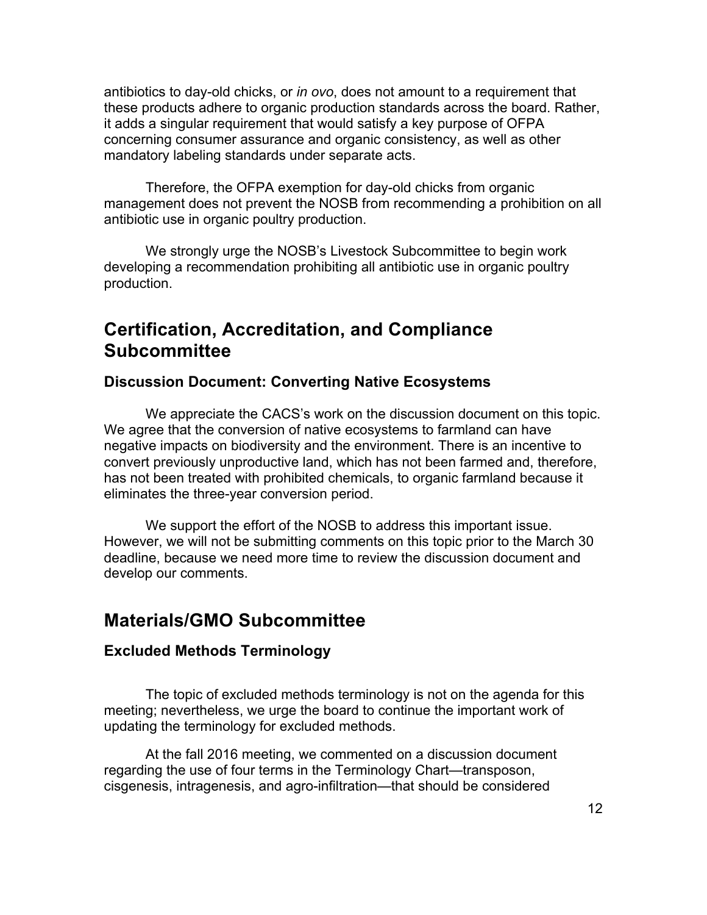antibiotics to day-old chicks, or *in ovo*, does not amount to a requirement that these products adhere to organic production standards across the board. Rather, it adds a singular requirement that would satisfy a key purpose of OFPA concerning consumer assurance and organic consistency, as well as other mandatory labeling standards under separate acts.

Therefore, the OFPA exemption for day-old chicks from organic management does not prevent the NOSB from recommending a prohibition on all antibiotic use in organic poultry production.

We strongly urge the NOSB's Livestock Subcommittee to begin work developing a recommendation prohibiting all antibiotic use in organic poultry production.

## **Certification, Accreditation, and Compliance Subcommittee**

#### **Discussion Document: Converting Native Ecosystems**

We appreciate the CACS's work on the discussion document on this topic. We agree that the conversion of native ecosystems to farmland can have negative impacts on biodiversity and the environment. There is an incentive to convert previously unproductive land, which has not been farmed and, therefore, has not been treated with prohibited chemicals, to organic farmland because it eliminates the three-year conversion period.

We support the effort of the NOSB to address this important issue. However, we will not be submitting comments on this topic prior to the March 30 deadline, because we need more time to review the discussion document and develop our comments.

### **Materials/GMO Subcommittee**

#### **Excluded Methods Terminology**

The topic of excluded methods terminology is not on the agenda for this meeting; nevertheless, we urge the board to continue the important work of updating the terminology for excluded methods.

At the fall 2016 meeting, we commented on a discussion document regarding the use of four terms in the Terminology Chart—transposon, cisgenesis, intragenesis, and agro-infiltration—that should be considered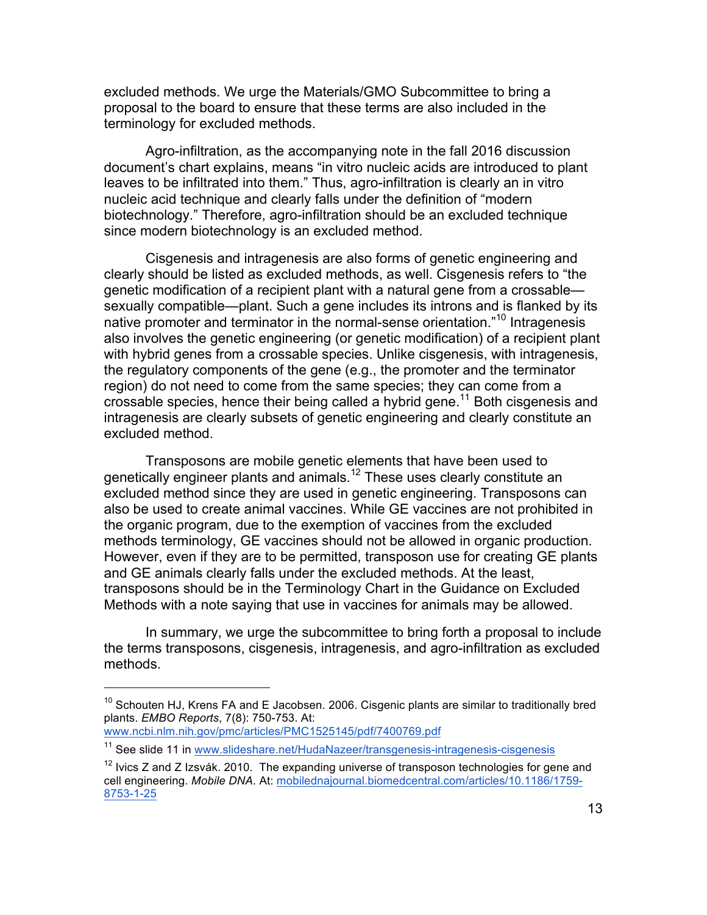excluded methods. We urge the Materials/GMO Subcommittee to bring a proposal to the board to ensure that these terms are also included in the terminology for excluded methods.

Agro-infiltration, as the accompanying note in the fall 2016 discussion document's chart explains, means "in vitro nucleic acids are introduced to plant leaves to be infiltrated into them." Thus, agro-infiltration is clearly an in vitro nucleic acid technique and clearly falls under the definition of "modern biotechnology." Therefore, agro-infiltration should be an excluded technique since modern biotechnology is an excluded method.

Cisgenesis and intragenesis are also forms of genetic engineering and clearly should be listed as excluded methods, as well. Cisgenesis refers to "the genetic modification of a recipient plant with a natural gene from a crossable sexually compatible—plant. Such a gene includes its introns and is flanked by its native promoter and terminator in the normal-sense orientation."<sup>10</sup> Intragenesis also involves the genetic engineering (or genetic modification) of a recipient plant with hybrid genes from a crossable species. Unlike cisgenesis, with intragenesis, the regulatory components of the gene (e.g., the promoter and the terminator region) do not need to come from the same species; they can come from a crossable species, hence their being called a hybrid gene.<sup>11</sup> Both cisgenesis and intragenesis are clearly subsets of genetic engineering and clearly constitute an excluded method.

Transposons are mobile genetic elements that have been used to genetically engineer plants and animals.<sup>12</sup> These uses clearly constitute an excluded method since they are used in genetic engineering. Transposons can also be used to create animal vaccines. While GE vaccines are not prohibited in the organic program, due to the exemption of vaccines from the excluded methods terminology, GE vaccines should not be allowed in organic production. However, even if they are to be permitted, transposon use for creating GE plants and GE animals clearly falls under the excluded methods. At the least, transposons should be in the Terminology Chart in the Guidance on Excluded Methods with a note saying that use in vaccines for animals may be allowed.

In summary, we urge the subcommittee to bring forth a proposal to include the terms transposons, cisgenesis, intragenesis, and agro-infiltration as excluded methods.

 $10$  Schouten HJ, Krens FA and E Jacobsen. 2006. Cisgenic plants are similar to traditionally bred plants. *EMBO Reports*, 7(8): 750-753. At:

www.ncbi.nlm.nih.gov/pmc/articles/PMC1525145/pdf/7400769.pdf

<sup>&</sup>lt;sup>11</sup> See slide 11 in www.slideshare.net/HudaNazeer/transgenesis-intragenesis-cisgenesis

 $12$  Ivics Z and Z Izsvák. 2010. The expanding universe of transposon technologies for gene and cell engineering. *Mobile DNA*. At: mobilednajournal.biomedcentral.com/articles/10.1186/1759- 8753-1-25